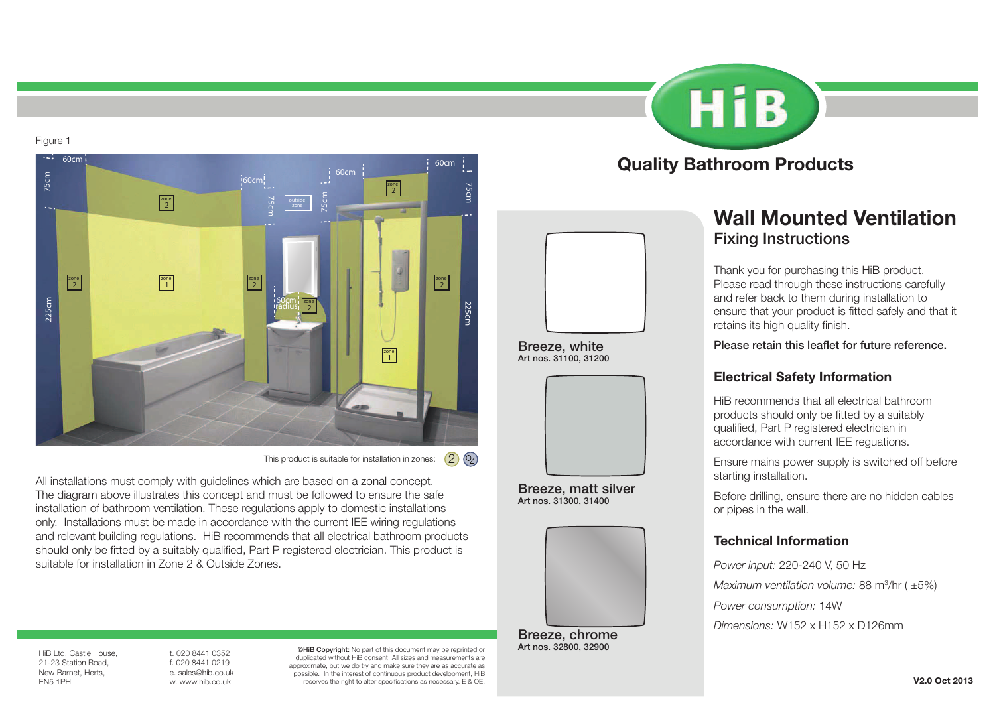Figure 1



This product is suitable for installation in zones:  $(2)$   $(3)$ 

All installations must comply with guidelines which are based on a zonal concept. The diagram above illustrates this concept and must be followed to ensure the safe installation of bathroom ventilation. These regulations apply to domestic installations only. Installations must be made in accordance with the current IEE wiring regulations and relevant building regulations. HiB recommends that all electrical bathroom products should only be fitted by a suitably qualified, Part P registered electrician. This product is suitable for installation in Zone 2 & Outside Zones.

# **HiB** Quality Bathroom Products



Breeze, white Art nos. 31100, 31200



Breeze, matt silver Art nos. 31300, 31400



Breeze, chrome<br>Art nos. 32800, 32900

# Wall Mounted Ventilation Fixing Instructions

Thank you for purchasing this HiB product. Please read through these instructions carefully and refer back to them during installation to ensure that your product is fitted safely and that it retains its high quality finish.

Please retain this leaflet for future reference.

### Electrical Safety Information

HiB recommends that all electrical bathroom products should only be fitted by a suitably qualified, Part P registered electrician in accordance with current IEE reguations.

Ensure mains power supply is switched off before starting installation.

Before drilling, ensure there are no hidden cables or pipes in the wall.

### Technical Information

*Power input:* 220-240 V, 50 Hz *Maximum ventilation volume:* 88 m3 /hr ( ±5%) *Power consumption:* 14W *Dimensions:* W152 x H152 x D126mm

HiB Ltd, Castle House, 21-23 Station Road, New Barnet, Herts, EN5 1PH

t. 020 8441 0352 f. 020 8441 0219 e. sales@hib.co.uk w. www.hib.co.uk

©HiB Copyright: No part of this document may be reprinted or duplicated without HiB consent. All sizes and measurements are approximate, but we do try and make sure they are as accurate as possible. In the interest of continuous product development, HiB reserves the right to alter specifications as necessary. E & OE.